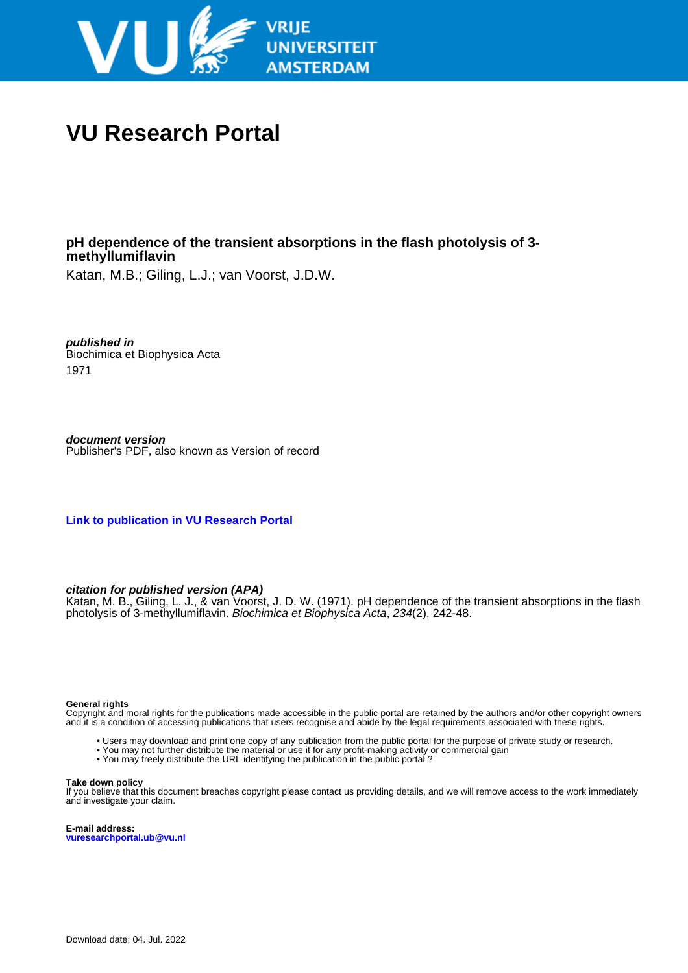

# **VU Research Portal**

# **pH dependence of the transient absorptions in the flash photolysis of 3 methyllumiflavin**

Katan, M.B.; Giling, L.J.; van Voorst, J.D.W.

**published in** Biochimica et Biophysica Acta 1971

**document version** Publisher's PDF, also known as Version of record

**[Link to publication in VU Research Portal](https://research.vu.nl/en/publications/a92cfcfa-1425-420d-934b-e652300d845b)**

# **citation for published version (APA)**

Katan, M. B., Giling, L. J., & van Voorst, J. D. W. (1971). pH dependence of the transient absorptions in the flash photolysis of 3-methyllumiflavin. Biochimica et Biophysica Acta, 234(2), 242-48.

#### **General rights**

Copyright and moral rights for the publications made accessible in the public portal are retained by the authors and/or other copyright owners and it is a condition of accessing publications that users recognise and abide by the legal requirements associated with these rights.

- Users may download and print one copy of any publication from the public portal for the purpose of private study or research.
- You may not further distribute the material or use it for any profit-making activity or commercial gain
- You may freely distribute the URL identifying the publication in the public portal ?

#### **Take down policy**

If you believe that this document breaches copyright please contact us providing details, and we will remove access to the work immediately and investigate your claim.

**E-mail address: vuresearchportal.ub@vu.nl**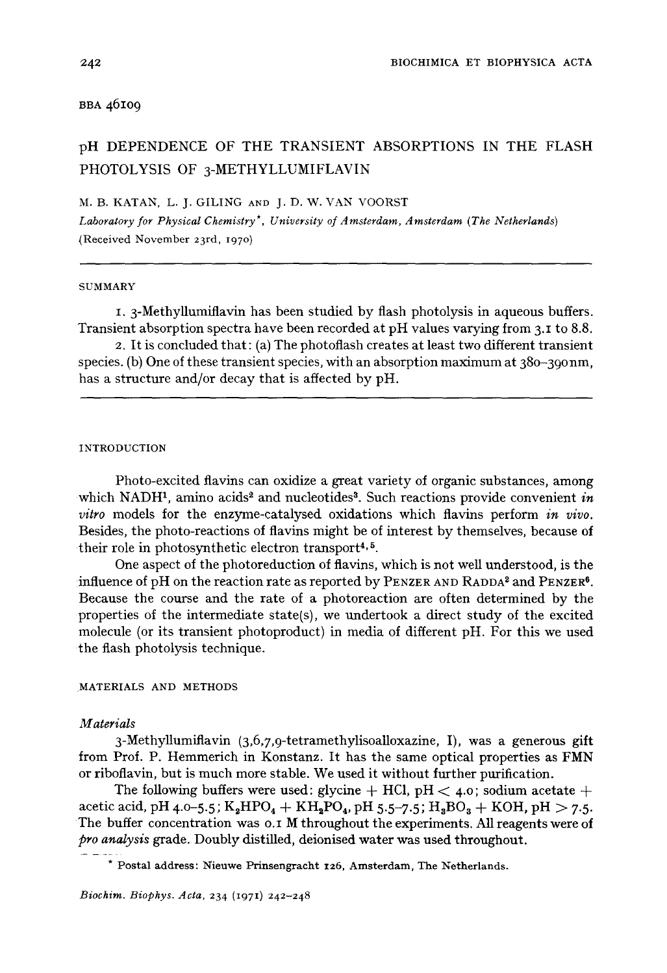### BBA 46109

# pH DEPENDENCE OF THE TRANSIENT ABSORPTIONS IN THE FLASH PHOTOLYSIS OF 3-METHYLLUMIFLAVIN

M. B. KATAN, L. J. GILING AND J. D. W. VAN VOORST

*Laboratory for Physical Chemistry\*, University of Amsterdam, Amsterdam (The Netherlands)*  (Received November 23rd, 1970)

#### **SUMMARY**

I, 3-Methyllumiflavin has been studied by flash photolysis in aqueous buffers. Transient absorption spectra have been recorded at pH values varying from 3.1 to 8.8.

2. It is concluded that: (a) The photoflash creates at least two different transient species. (b) One of these transient species, with an absorption maximum at  $380 - 390$  nm, has a structure and/or decay that is affected by pH.

#### INTRODUCTION

Photo-excited flavins can oxidize a great variety of organic substances, among which NADH<sup>1</sup>, amino acids<sup>2</sup> and nucleotides<sup>3</sup>. Such reactions provide convenient *in vitro* models for the enzyme-catalysed oxidations which flavins perform *in vivo.*  Besides, the photo-reactions of flavins might be of interest by themselves, because of their role in photosynthetic electron transport<sup>4,  $5$ </sup>.

One aspect of the photoreduction of flavins, which is not well understood, is the influence of pH on the reaction rate as reported by PENZER AND RADDA<sup>2</sup> and PENZER<sup>6</sup>. Because the course and the rate of a photoreaction are often determined by the properties of the intermediate state(s), we undertook a direct study of the excited molecule (or its transient photoproduct) in media of different pH. For this we used the flash photolysis technique.

#### MATERIALS AND METHODS

#### *Materials*

3-Methyllumiflavin *(3,6,7,9-tetramethylisoalloxazine,* I), was a generous gift from Prof. P. Hemmerich in Konstanz. It has the same optical properties as FMN or riboflavin, but is much more stable. We used it without further purification.

The following buffers were used: glycine  $+$  HCl, pH  $<$  4.0; sodium acetate  $+$ acetic acid, pH 4.0-5.5;  $K_2HPO_4 + KH_2PO_4$ , pH 5.5-7.5;  $H_3BO_3 + KOH$ , pH  $>$  7.5. The buffer concentration was o.1 M throughout the experiments. All reagents were of *pro analysis* grade. Doubly distilled, deionised water was used throughout.

<sup>\*</sup> Postal address: Nieuwe Prinsengracht 126, Amsterdam, The Netherlands.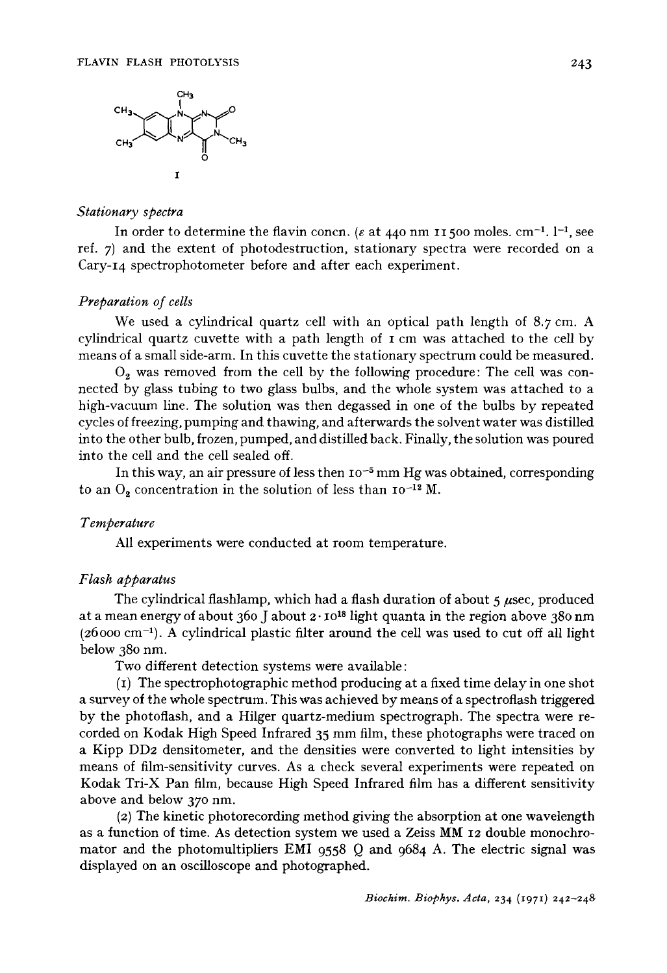

#### *Stationary spectra*

In order to determine the flavin concn. ( $\varepsilon$  at 440 nm 11500 moles, cm<sup>-1</sup>. 1<sup>-1</sup>, see ref. 7) and the extent of photodestruction, stationary spectra were recorded on a Cary-14 spectrophotometer before and after each experiment.

## *Preparation of cells*

We used a cylindrical quartz cell with an optical path length of  $8.7 \text{ cm}$ . A cylindrical quartz cuvette with a path length of I cm was attached to the cell by means of a small side-arm. In this cuvette the stationary spectrum could be measured.

 $O<sub>2</sub>$  was removed from the cell by the following procedure: The cell was connected by glass tubing to two glass bulbs, and the whole system was attached to a high-vacuum line. The solution was then degassed in one of the bulbs by repeated cycles of freezing, pumping and thawing, and afterwards the solvent water was distilled into the other bulb, frozen, pumped, and distilled back. Finally, the solution was poured into the cell and the cell sealed off.

In this way, an air pressure of less then  $10^{-5}$  mm Hg was obtained, corresponding to an  $O_2$  concentration in the solution of less than  $10^{-12}$  M.

# *Temperature*

All experiments were conducted at room temperature.

# *Flash apparatus*

The cylindrical flashlamp, which had a flash duration of about  $\frac{1}{5}$  usec, produced at a mean energy of about 360 J about  $2 \cdot 10^{18}$  light quanta in the region above 380 nm  $(26000 \text{ cm}^{-1})$ . A cylindrical plastic filter around the cell was used to cut off all light below 380 nm.

Two different detection systems were available:

(I) The spectrophotographic method producing at a fixed time delay in one shot a survey of the whole spectrum. This was achieved by means of a spectroflash triggered by the photoflash, and a Hilger quartz-medium spectrograph. The spectra were recorded on Kodak High Speed Infrared 35 mm film, these photographs were traced on a Kipp DD2 densitometer, and the densities were converted to light intensities by means of film-sensitivity curves. As a check several experiments were repeated on Kodak Tri-X Pan film, because High Speed Infrared film has a different sensitivity above and below 370 nm.

(2) The kinetic photorecording method giving the absorption at one wavelength as a function of time. As detection system we used a Zeiss MM 12 double monochromator and the photomultipliers EMI 9558 Q and 9684 A. The electric signal was displayed on an oscilloscope and photographed.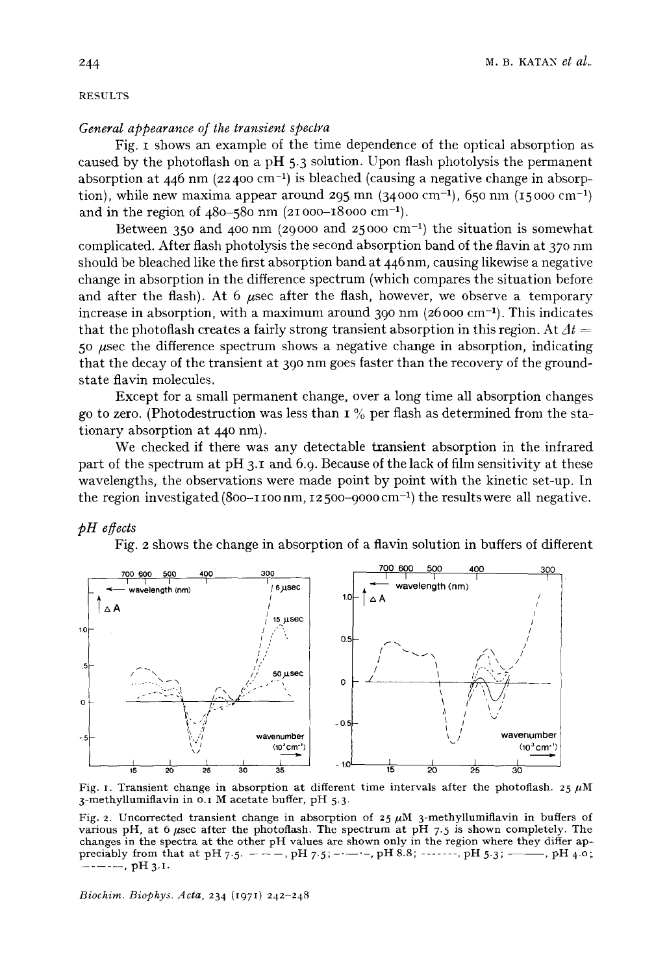#### RESULTS

## *General appearance of the transient spectra*

**Fig. I shows an example of the time dependence of the optical absorption as caused by the photoflash on a pH 5.3 solution. Upon flash photolysis the permanent**  absorption at  $446$  nm  $(22400 \text{ cm}^{-1})$  is bleached (causing a negative change in absorption), while new maxima appear around 295 mn  $(34000 \text{ cm}^{-1})$ , 650 nm  $(15000 \text{ cm}^{-1})$ **and in the region of 480-580 nm (21o00-18000 cm-1).** 

Between 350 and 400 nm (29000 and 25000 cm<sup>-1</sup>) the situation is somewhat complicated. After flash photolysis the second absorption band of the flavin at 370 nm **should be bleached like the first absorption band at 446 nm, causing likewise a negative change in absorption in the difference spectrum (which compares the situation before**  and after the flash). At 6 usec after the flash, however, we observe a temporary increase in absorption, with a maximum around 390 nm (26000 cm<sup>-1</sup>). This indicates that the photoflash creates a fairly strong transient absorption in this region. At  $\Delta t =$ **5 ° #sec the difference spectrum shows a negative change in absorption, indicating**  that the decay of the transient at 390 nm goes faster than the recovery of the ground**state flavin molecules.** 

**Except for a small permanent change, over a long time all absorption changes go to zero. (Photodestruction was less than 1% per flash as determined from the sta**tionary absorption at 440 nm).

We checked if there was any detectable transient absorption in the infrared part of the spectrum at pH 3.1 and 6.9. Because of the lack of film sensitivity at these **wavelengths, the observations were made point by point with the kinetic set-up. In**  the region investigated  $(800-1100 \text{ nm}, 12500-9000 \text{ cm}^{-1})$  the results were all negative.

### *pH egects*

**Fig. 2 shows the change in absorption of a flavin solution in buffers of different** 



Fig. 1. Transient change in absorption at different time intervals after the photoflash.  $25 \mu M$ **3-methyllumiflavin in** o.i M **acetate buffer,** pH 5.3-

Fig. 2. Uncorrected transient change in absorption of  $25 \mu M$  3-methyllumiflavin in buffers of various pH, at 6 usec after the photoflash. The spectrum at  $pH$  7.5 is shown completely. The **changes in the spectra at the other pH values are shown only in the region where they differ appreciably from that at pH** 7.5.  $-$  --, pH 7.5;  $-$  -----, pH 8.8;  $-$ -----, pH 5.3;  $-$ , pH 4.0; ...... **, pH 3.I.** 

*Biochim. Biophys. Acta,* **234 (1971) 242 248**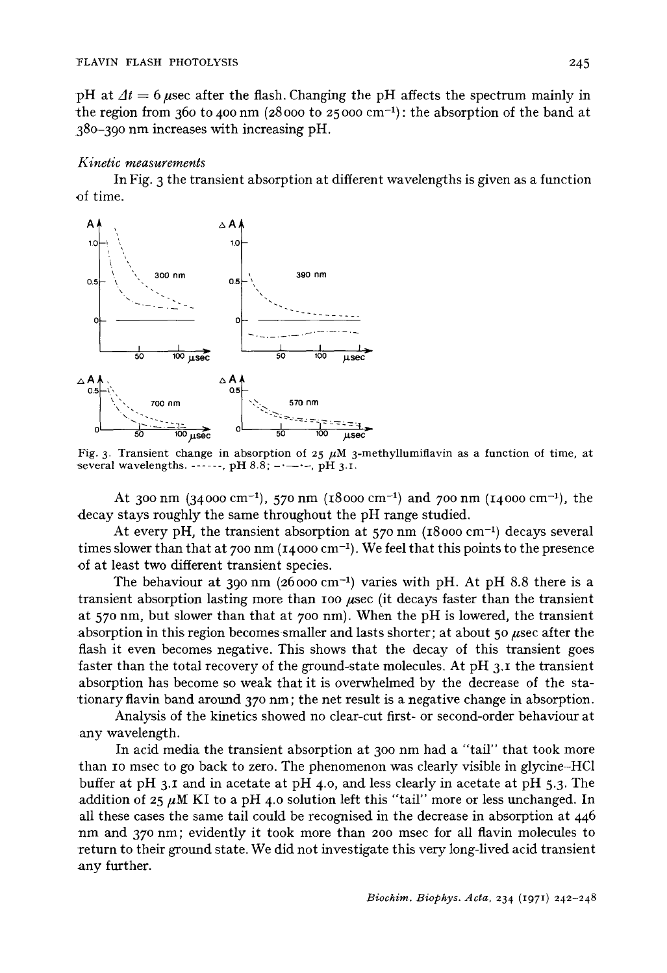pH at  $\Delta t = 6$  usec after the flash. Changing the pH affects the spectrum mainly in the region from 360 to 400 nm (28000 to 25000 cm<sup>-1</sup>); the absorption of the band at 380-390 nm increases with increasing pH.

#### *Kinetic measurements*

In Fig. 3 the transient absorption at different wavelengths is given as a function ~f time.



Fig. 3. Transient change in absorption of 25  $\mu$ M 3-methyllumiflavin as a function of time, at several wavelengths.  $\ldots$ , pH 8.8;  $\ldots$ , pH 3.I.

At 300 nm (34000 cm<sup>-1</sup>), 570 nm (18000 cm<sup>-1</sup>) and 700 nm (14000 cm<sup>-1</sup>), the decay stays roughly the same throughout the pH range studied.

At every pH, the transient absorption at  $570 \text{ nm}$  (18000 cm<sup>-1</sup>) decays several times slower than that at 700 nm  $(14000 \text{ cm}^{-1})$ . We feel that this points to the presence of at least two different transient species.

The behaviour at 390 nm (26000 cm<sup>-1</sup>) varies with pH. At pH 8.8 there is a transient absorption lasting more than 100  $\mu$ sec (it decays faster than the transient at 570 nm, but slower than that at 700 nm). When the pH is lowered, the transient absorption in this region becomes smaller and lasts shorter; at about 50  $\mu$ sec after the flash it even becomes negative. This shows that the decay of this transient goes faster than the total recovery of the ground-state molecules. At pH 3.1 the transient absorption has become so weak that it is overwhelmed by the decrease of the stationary flavin band around 370 nm; the net result is a negative change in absorption.

Analysis of the kinetics showed no clear-cut first- or second-order behaviour at any wavelength.

In acid media the transient absorption at 300 nm had a "tail" that took more than IO msec to go back to zero. The phenomenon was clearly visible in glycine-HC1 buffer at pH 3.1 and in acetate at pH 4.0, and less clearly in acetate at pH 5.3. The addition of  $25 \mu M$  KI to a pH 4.0 solution left this "tail" more or less unchanged. In all these cases the same tail could be recognised in the decrease in absorption at 446 nm and 370 nm; evidently it took more than 200 msec for all flavin molecules to return to their ground state. We did not investigate this very long-lived acid transient any further.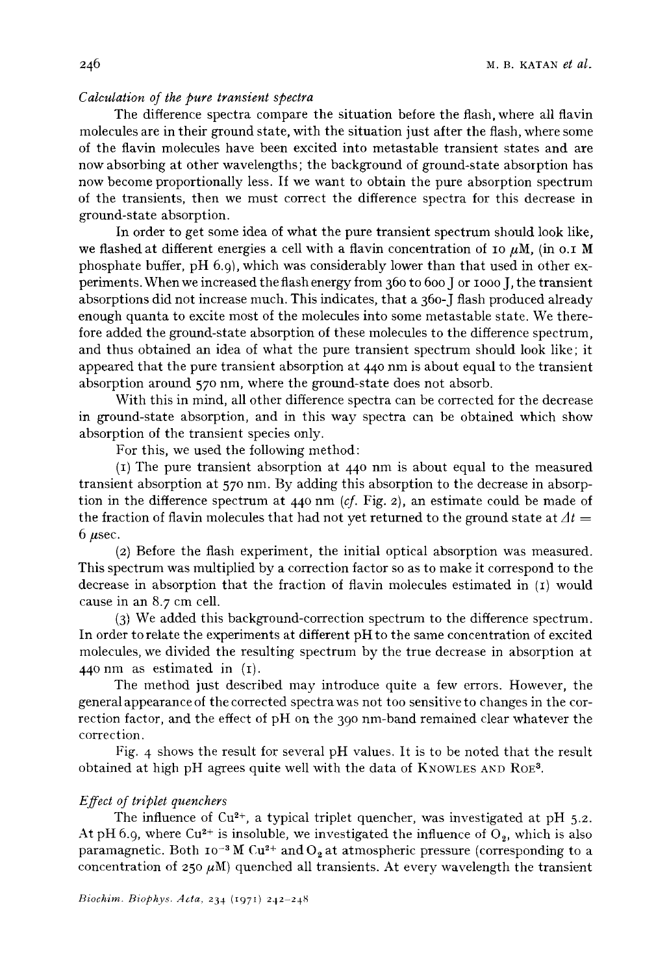# *Calculation of the pure transient spectra*

The difference spectra compare the situation before the flash, where all flavin molecules are in their ground state, with the situation just after the flash, where some of the flavin molecules have been excited into metastable transient states and are now absorbing at other wavelengths; the background of ground-state absorption has now become proportionally less. If we want to obtain the pure absorption spectrum of the transients, then we must correct the difference spectra for this decrease in ground-state absorption.

In order to get some idea of what the pure transient spectrum should look like, we flashed at different energies a cell with a flavin concentration of 10  $\mu$ M, (in o.1 M phosphate buffer,  $pH_0(0)$ , which was considerably lower than that used in other experiments. When we increased the flash energy from 360 to 600 J or IOOO J, the transient absorptions did not increase much. This indicates, that a 36o-J flash produced already enough quanta to excite most of the molecules into some metastable state. We therefore added the ground-state absorption of these molecules to the difference spectrum, and thus obtained an idea of what the pure transient spectrum should look like; it appeared that the pure transient absorption at  $440$  nm is about equal to the transient absorption around 570 nm, where the ground-state does not absorb.

With this in mind, all other difference spectra can be corrected for the decrease in ground-state absorption, and in this way spectra can be obtained which show absorption of the transient species only.

For this, we used the following method:

 $(i)$  The pure transient absorption at 440 nm is about equal to the measured transient absorption at 570 nm. By adding this absorption to the decrease in absorption in the difference spectrum at 440 nm *(cf.* Fig. 2), an estimate could be made of the fraction of flavin molecules that had not yet returned to the ground state at  $\Delta t =$  $6~\mu$ sec.

(2) Before the flash experiment, the initial optical absorption was measured. This spectrum was multiplied by a correction factor so as to make it correspond to the decrease in absorption that the fraction of flavin molecules estimated in (I) would cause in an 8.7 cm cell.

(3) We added this background-correction spectrum to the difference spectrum. In order to relate the experiments at different pH to the same concentration of excited molecules, we divided the resulting spectrum by the true decrease in absorption at 440 nm as estimated in (I).

The method just described may introduce quite a few errors. However, the general appearance of the corrected spectrawas not too sensitive to changes in the correction factor, and the effect of pH on the 390 nm-band remained clear whatever the correction.

Fig. 4 shows the result for several pH values. It is to be noted that the result obtained at high pH agrees quite well with the data of KNOWLES AND ROE<sup>3</sup>.

# *Effect of triplet quenchers*

The influence of Cu<sup>2+</sup>, a typical triplet quencher, was investigated at pH  $5.2$ . At pH 6.9, where Cu<sup>2+</sup> is insoluble, we investigated the influence of  $O_2$ , which is also paramagnetic. Both  $10^{-3}$  M Cu<sup>2+</sup> and O<sub>2</sub> at atmospheric pressure (corresponding to a concentration of 250  $\mu$ M) quenched all transients. At every wavelength the transient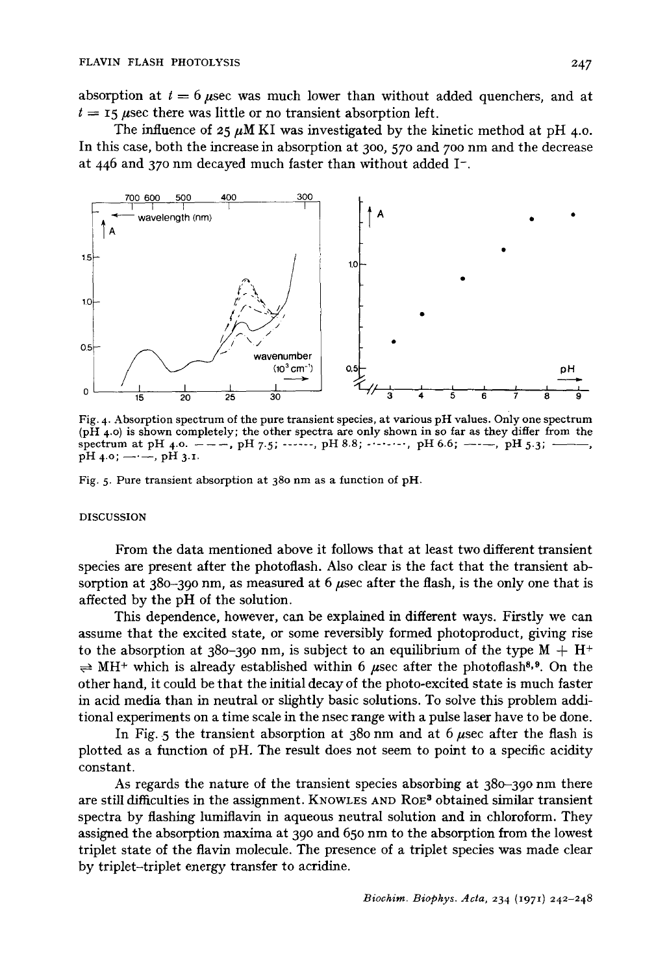absorption at  $t = 6$  usec was much lower than without added quenchers, and at  $t = 15$  usec there was little or no transient absorption left.

The influence of  $25~\mu$ M KI was investigated by the kinetic method at pH 4.0. In this case, both the increase in absorption at 300, 570 and 700 nm and the decrease at 446 and 370 nm decayed much faster than without added  $I^-$ .



Fig. 4. Absorption spectrum of the pure transient species, at various pH values. Only one spectrum (pH 4.0) is shown completely; the other spectra are only shown in so far as they differ from the spectrum at pH 4.0.  $---$ , pH 7.5; ......, pH 8.8; ......, pH 6.6;  $---$ , pH 5.3; - $pH$  4.0;  $\longrightarrow$ ,  $pH$  3.1.

Fig. 5. Pure transient absorption at 380 nm as a function of pH.

#### DISCUSSION

From the data mentioned above it follows that at least two different transient species are present after the photoflash. Also clear is the fact that the transient absorption at 380-390 nm, as measured at 6  $\mu$ sec after the flash, is the only one that is affected by the pH of the solution.

This dependence, however, can be explained in different ways. Firstly we can assume that the excited state, or some reversibly formed photoproduct, giving rise to the absorption at 380-390 nm, is subject to an equilibrium of the type  $M + H^+$  $\Rightarrow$  MH<sup>+</sup> which is already established within 6 usec after the photoflash<sup>8,9</sup>. On the other hand, it could be that the initial decay of the photo-excited state is much faster in acid media than in neutral or slightly basic solutions. To solve this problem additional experiments on a time scale in the nsec range with a pulse laser have to be done.

In Fig. 5 the transient absorption at 380 nm and at 6  $\mu$ sec after the flash is plotted as a function of pH. The result does not seem to point to a specific acidity constant.

As regards the nature of the transient species absorbing at 380-390 nm there are still difficulties in the assignment. KNOWLES AND ROE<sup>3</sup> obtained similar transient spectra by flashing lumiflavin in aqueous neutral solution and in chloroform. They assigned the absorption maxima at 390 and 650 nm to the absorption from the lowest triplet state of the flavin molecule. The presence of a triplet species was made clear by triplet-triplet energy transfer to acridine.